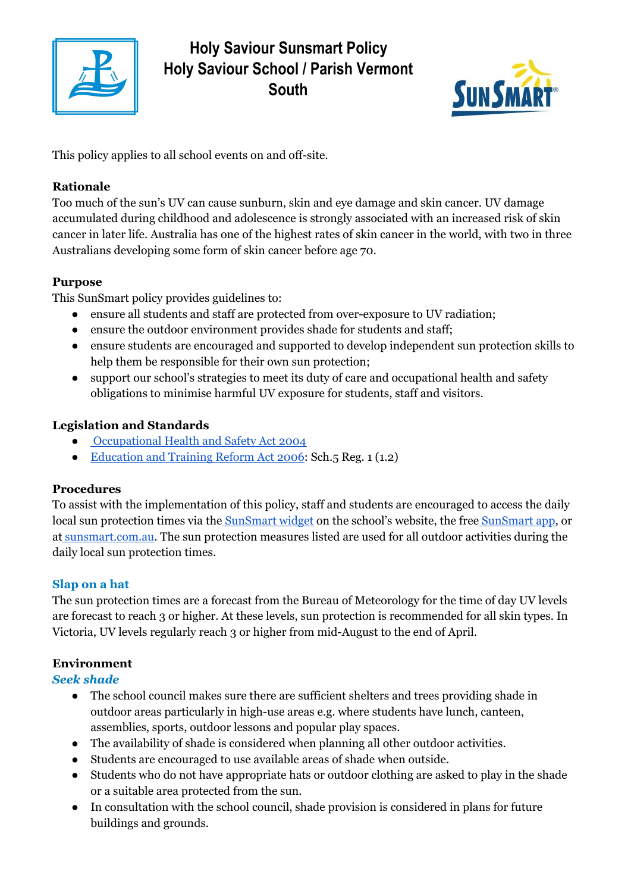

# **Holy Saviour Sunsmart Policy Holy Saviour School / Parish Vermont South**



This policy applies to all school events on and off-site.

# **Rationale**

Too much of the sun's UV can cause sunburn, skin and eye damage and skin cancer. UV damage accumulated during childhood and adolescence is strongly associated with an increased risk of skin cancer in later life. Australia has one of the highest rates of skin cancer in the world, with two in three Australians developing some form of skin cancer before age 70.

### **Purpose**

This SunSmart policy provides guidelines to:

- ensure all students and staff are protected from over-exposure to UV radiation;
- ensure the outdoor environment provides shade for students and staff;
- ensure students are encouraged and supported to develop independent sun protection skills to help them be responsible for their own sun protection;
- support our school's strategies to meet its duty of care and occupational health and safety obligations to minimise harmful UV exposure for students, staff and visitors.

# **Legislation and Standards**

- [Occupational](http://www.legislation.vic.gov.au/Domino/Web_Notes/LDMS/PubStatbook.nsf/edfb620cf7503d1aca256da4001b08af/750E0D9E0B2B387FCA256F71001FA7BE/$FILE/04-107A.pdf) Health and Safety Act 2004
- [Education](http://www.education.vic.gov.au/about/department/legislation/Pages/act2006.aspx) and Training Reform Act 2006: Sch.5 Reg. 1 (1.2)

# **Procedures**

To assist with the implementation of this policy, staff and students are encouraged to access the daily local sun protection times via the [SunSmart](http://www.sunsmart.com.au/tools/interactive-tools/free-sunsmart-app) widget on the school's website, the free SunSmart app, or at [sunsmart.com.au.](http://www.sunsmart.com.au/) The sun protection measures listed are used for all outdoor activities during the daily local sun protection times.

### **Slap on a hat**

The sun protection times are a forecast from the Bureau of Meteorology for the time of day UV levels are forecast to reach 3 or higher. At these levels, sun protection is recommended for all skin types. In Victoria, UV levels regularly reach 3 or higher from mid-August to the end of April.

# **Environment**

### *Seek shade*

- The school council makes sure there are sufficient shelters and trees providing shade in outdoor areas particularly in high-use areas e.g. where students have lunch, canteen, assemblies, sports, outdoor lessons and popular play spaces.
- The availability of shade is considered when planning all other outdoor activities.
- Students are encouraged to use available areas of shade when outside.
- Students who do not have appropriate hats or outdoor clothing are asked to play in the shade or a suitable area protected from the sun.
- In consultation with the school council, shade provision is considered in plans for future buildings and grounds.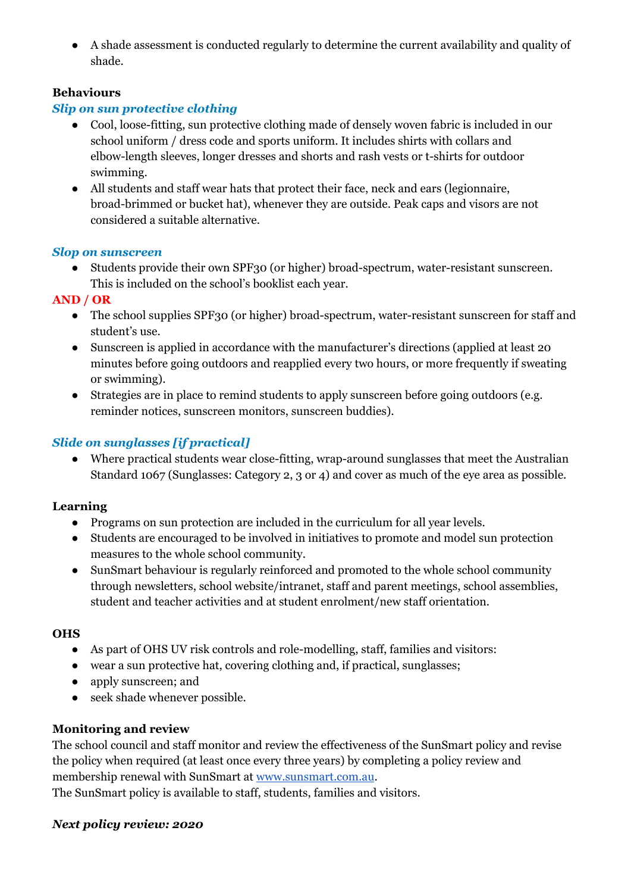● A shade assessment is conducted regularly to determine the current availability and quality of shade.

### **Behaviours**

### *Slip on sun protective clothing*

- Cool, loose-fitting, sun protective clothing made of densely woven fabric is included in our school uniform / dress code and sports uniform. It includes shirts with collars and elbow-length sleeves, longer dresses and shorts and rash vests or t-shirts for outdoor swimming.
- All students and staff wear hats that protect their face, neck and ears (legionnaire, broad-brimmed or bucket hat), whenever they are outside. Peak caps and visors are not considered a suitable alternative.

#### *Slop on sunscreen*

● Students provide their own SPF30 (or higher) broad-spectrum, water-resistant sunscreen. This is included on the school's booklist each year.

#### **AND / OR**

- The school supplies SPF30 (or higher) broad-spectrum, water-resistant sunscreen for staff and student's use.
- Sunscreen is applied in accordance with the manufacturer's directions (applied at least 20 minutes before going outdoors and reapplied every two hours, or more frequently if sweating or swimming).
- Strategies are in place to remind students to apply sunscreen before going outdoors (e.g. reminder notices, sunscreen monitors, sunscreen buddies).

### *Slide on sunglasses [if practical]*

• Where practical students wear close-fitting, wrap-around sunglasses that meet the Australian Standard 1067 (Sunglasses: Category 2, 3 or 4) and cover as much of the eye area as possible.

### **Learning**

- Programs on sun protection are included in the curriculum for all year levels.
- Students are encouraged to be involved in initiatives to promote and model sun protection measures to the whole school community.
- SunSmart behaviour is regularly reinforced and promoted to the whole school community through newsletters, school website/intranet, staff and parent meetings, school assemblies, student and teacher activities and at student enrolment/new staff orientation.

#### **OHS**

- As part of OHS UV risk controls and role-modelling, staff, families and visitors:
- wear a sun protective hat, covering clothing and, if practical, sunglasses;
- apply sunscreen; and
- seek shade whenever possible.

### **Monitoring and review**

The school council and staff monitor and review the effectiveness of the SunSmart policy and revise the policy when required (at least once every three years) by completing a policy review and membership renewal with SunSmart at [www.sunsmart.com.au.](http://www.sunsmart.com.au/)

The SunSmart policy is available to staff, students, families and visitors.

#### *Next policy review: 2020*